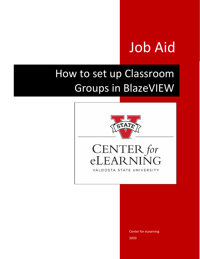# Job Aid

# How to set up Classroom Groups in BlazeVIEW



#### CENTER for  $e\Gamma$  $R<sub>1</sub>$  $\Omega$  $\mathsf{A}$ VALDOSTA STATE UNIVERSITY

Center for eLearning 2020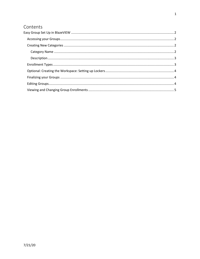# Contents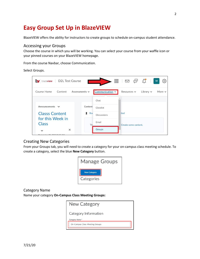# <span id="page-2-0"></span>**Easy Group Set Up in BlazeVIEW**

BlazeVIEW offers the ability for instructors to create groups to schedule on-campus student attendance.

#### <span id="page-2-1"></span>Accessing your Groups

Choose the course in which you will be working. You can select your course from your waffle icon or your pinned courses on your BlazeVIEW homepage.

From the course Navbar, choose Communication.

Select Groups.

| M blazeview   D2L Test Course    |                    |                    | 器<br>$\mathbb{R} \quad \mathbb{S} \quad \mathbb{C}$ | $\frac{1}{2}$  | ද්රි}<br>V <sub>l</sub> |
|----------------------------------|--------------------|--------------------|-----------------------------------------------------|----------------|-------------------------|
| Course Home<br>Content           | Assessments $\sim$ | Communication v    | Resources $\sim$                                    | Library $\vee$ | More $\sim$             |
|                                  |                    | Chat               |                                                     |                |                         |
| Announcements $\vee$             | Content            | Classlist          |                                                     |                |                         |
| <b>Classs Content</b>            | Π<br><b>Bo</b>     | <b>Discussions</b> | ited                                                |                |                         |
| for this Week in<br><b>Class</b> | <b>Th</b>          | Email              | Create some content.                                |                |                         |
| $\times$<br>$\checkmark$         |                    | Groups             |                                                     |                |                         |
|                                  |                    |                    |                                                     |                |                         |

### <span id="page-2-2"></span>Creating New Categories

From your Groups tab, you will need to create a category for your on-campus class meeting schedule. To create a category, select the blue **New Category** button.



<span id="page-2-3"></span>Category Name

Name your category **On-Campus Class Meeting Groups:**

| New Category                   |
|--------------------------------|
| Category Information           |
| Category Name *                |
| On-Campus Class Meeting Groups |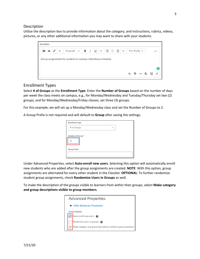#### <span id="page-3-0"></span>**Description**

Utilize the description box to provide information about the category, and instructions, rubrics, videos, pictures, or any other additional information you may want to share with your students.



#### <span id="page-3-1"></span>Enrollment Types

Select **# of Groups** as the **Enrollment Type**. Enter the **Number of Groups** based on the number of days per week the class meets on campus, e.g., for Monday/Wednesday and Tuesday/Thursday set two (2) groups; and for Monday/Wednesday/Friday classes, set three (3) groups.

For this example, we will set up a Monday/Wednesday class and set the Number of Groups to 2.

A Group Prefix is not required and will default to **Group** after saving the settings.

| <b>Enrollment Type</b> |              |  |
|------------------------|--------------|--|
| # of Groups            | $\checkmark$ |  |
| Number of Groups*      |              |  |
| <b>Group Prefix</b>    |              |  |
|                        |              |  |

Under Advanced Properties, select **Auto-enroll new users**. Selecting this option will automatically enroll new students who are added after the group assignments are created. **NOTE**: With this option, group assignments are alternated for every other student in the Classlist. **OPTIONAL**: To further randomize student group assignments, check **Randomize Users in Groups** as well.

To make the description of the groups visible to learners from within their groups, select **Make category and group descriptions visible to group members**.

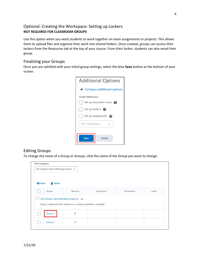### <span id="page-4-0"></span>Optional: Creating the Workspace: Setting up Lockers **NOT REQUIRED FOR CLASSROOM GROUPS**

Use this option when you want students to work together on team assignments or projects. This allows them to upload files and organize their work into shared folders. Once created, groups can access their lockers from the Resources tab at the top of your course. From their locker, students can also email their group.

#### <span id="page-4-1"></span>Finalizing your Groups

Once you are satisfied with your initial group settings, select the blue **Save** button at the bottom of your screen.

| <b>Additional Options</b>                         |  |  |  |  |  |  |
|---------------------------------------------------|--|--|--|--|--|--|
| $\blacktriangleright$ Collapse additional options |  |  |  |  |  |  |
| <b>Create Workspace</b>                           |  |  |  |  |  |  |
| Set up discussion areas $\odot$                   |  |  |  |  |  |  |
| Set up lockers $\bigcirc$                         |  |  |  |  |  |  |
| Set up assignments<br>๏                           |  |  |  |  |  |  |
| File submission                                   |  |  |  |  |  |  |
|                                                   |  |  |  |  |  |  |
| Save<br>Cancel                                    |  |  |  |  |  |  |
|                                                   |  |  |  |  |  |  |

#### <span id="page-4-2"></span>Editing Groups

To change the name of a Group or Groups, click the name of the Group you want to change.

|              | On-Campus Class Meeting Groups v |                                                                                                                |            |                    |        |
|--------------|----------------------------------|----------------------------------------------------------------------------------------------------------------|------------|--------------------|--------|
| $\sum$ Email | <b>Delete</b><br>п               |                                                                                                                |            |                    |        |
|              | Groups                           | Members                                                                                                        | Assignment | <b>Discussions</b> | Locker |
| Ĩ.           | Group 1                          | On-Campus Class Meeting Groups (2) $\vee$<br>Group assignments for student on-campus attendance schedule.<br>8 |            |                    |        |
|              |                                  |                                                                                                                |            |                    |        |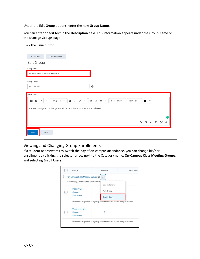Under the Edit Group options, enter the new **Group Name**.

You can enter or edit text in the **Description** field. This information appears under the Group Name on the Manage Groups page.

#### Click the **Save** button.

| <b>Enroll Users</b><br><b>View Enrollment</b>                                                                                                                                                                                                                        |                                                                                                |    |              |                          |                |          |
|----------------------------------------------------------------------------------------------------------------------------------------------------------------------------------------------------------------------------------------------------------------------|------------------------------------------------------------------------------------------------|----|--------------|--------------------------|----------------|----------|
| <b>Edit Group</b>                                                                                                                                                                                                                                                    |                                                                                                |    |              |                          |                |          |
| Group Name*                                                                                                                                                                                                                                                          |                                                                                                |    |              |                          |                |          |
| Monday On-Campus Attendance                                                                                                                                                                                                                                          |                                                                                                |    |              |                          |                |          |
| Group Code*                                                                                                                                                                                                                                                          |                                                                                                |    |              |                          |                |          |
| grp_2076307_1                                                                                                                                                                                                                                                        | $\boldsymbol{\Theta}$                                                                          |    |              |                          |                |          |
| Description<br>в<br>$\underline{\mathsf{U}}$<br>I<br>$\sigma^{\!\mathcal{O}}$<br>Paragraph $\sim$<br>$\blacksquare$<br>$\mathbf{r}$<br>$\overline{\phantom{a}}$<br>$\overline{\phantom{a}}$<br>Students assigned to this group will attend Monday on-campus classes. | 표<br>$\overline{=}$<br>這<br>Font Family $\sim$<br>Font Size $\sim$<br>$\overline{\phantom{a}}$ |    |              | $\overline{\phantom{a}}$ |                | $\cdots$ |
|                                                                                                                                                                                                                                                                      |                                                                                                |    |              |                          |                | e        |
|                                                                                                                                                                                                                                                                      |                                                                                                | Ą, | $\mathbf{P}$ |                          | <b>の 長 器 左</b> |          |
| Cancel<br>Save                                                                                                                                                                                                                                                       |                                                                                                |    |              |                          |                |          |

## <span id="page-5-0"></span>Viewing and Changing Group Enrollments

If a student needs/wants to switch the day of on-campus attendance, you can change his/her enrollment by clicking the selector arrow next to the Category name, **On-Campus Class Meeting Groups,** and selecting **Enroll Users.**

| Groups                                                                     | Members                                                               | Assignment |
|----------------------------------------------------------------------------|-----------------------------------------------------------------------|------------|
| On-Campus Class Meeting Groups (2)<br>Group assignments for student on-cam |                                                                       |            |
|                                                                            | <b>Edit Category</b>                                                  |            |
| Monday On-<br>Campus                                                       | Add Group                                                             |            |
| Attendance                                                                 | <b>Enroll Users</b>                                                   |            |
|                                                                            | Students assigned to this group will attend Monday on-campus classes. |            |
| Wednesday On-                                                              |                                                                       |            |
| Campus                                                                     | 8                                                                     |            |
| Attendance                                                                 |                                                                       |            |
|                                                                            | Students assigned to this group will attend Monday on-campus classes. |            |
|                                                                            |                                                                       |            |